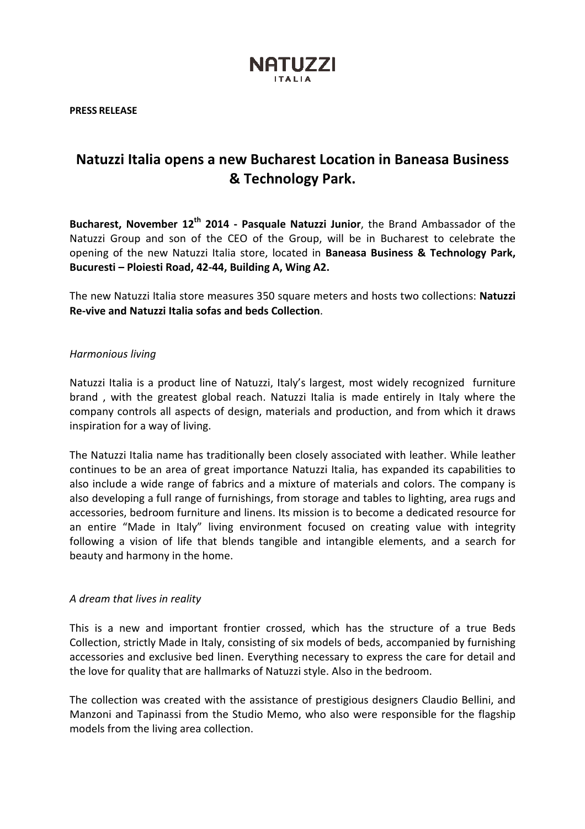

PRESS RELEASE

# Natuzzi Italia opens a new Bucharest Location in Baneasa Business & Technology Park.

Bucharest, November 12<sup>th</sup> 2014 - Pasquale Natuzzi Junior, the Brand Ambassador of the Natuzzi Group and son of the CEO of the Group, will be in Bucharest to celebrate the opening of the new Natuzzi Italia store, located in Baneasa Business & Technology Park, Bucuresti – Ploiesti Road, 42-44, Building A, Wing A2.

The new Natuzzi Italia store measures 350 square meters and hosts two collections: Natuzzi Re-vive and Natuzzi Italia sofas and beds Collection.

# Harmonious living

Natuzzi Italia is a product line of Natuzzi, Italy's largest, most widely recognized furniture brand , with the greatest global reach. Natuzzi Italia is made entirely in Italy where the company controls all aspects of design, materials and production, and from which it draws inspiration for a way of living.

The Natuzzi Italia name has traditionally been closely associated with leather. While leather continues to be an area of great importance Natuzzi Italia, has expanded its capabilities to also include a wide range of fabrics and a mixture of materials and colors. The company is also developing a full range of furnishings, from storage and tables to lighting, area rugs and accessories, bedroom furniture and linens. Its mission is to become a dedicated resource for an entire "Made in Italy" living environment focused on creating value with integrity following a vision of life that blends tangible and intangible elements, and a search for beauty and harmony in the home.

# A dream that lives in reality

This is a new and important frontier crossed, which has the structure of a true Beds Collection, strictly Made in Italy, consisting of six models of beds, accompanied by furnishing accessories and exclusive bed linen. Everything necessary to express the care for detail and the love for quality that are hallmarks of Natuzzi style. Also in the bedroom.

The collection was created with the assistance of prestigious designers Claudio Bellini, and Manzoni and Tapinassi from the Studio Memo, who also were responsible for the flagship models from the living area collection.